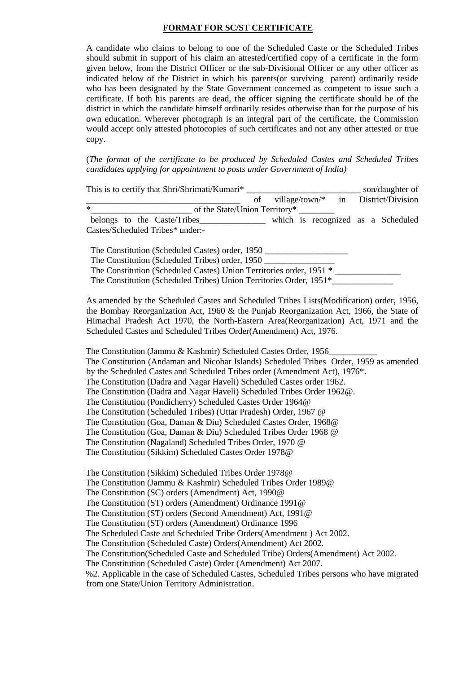## **FORMAT FOR SC/ST CERTIFICATE**

A candidate who claims to belong to one of the Scheduled Caste or the Scheduled Tribes should submit in support of his claim an attested/certified copy of a certificate in the form given below, from the District Officer or the sub-Divisional Officer or any other officer as indicated below of the District in which his parents(or surviving parent) ordinarily reside who has been designated by the State Government concerned as competent to issue such a certificate. If both his parents are dead, the officer signing the certificate should be of the district in which the candidate himself ordinarily resides otherwise than for the purpose of his own education. Wherever photograph is an integral part of the certificate, the Commission would accept only attested photocopies of such certificates and not any other attested or true copy.

(*The format of the certificate to be produced by Scheduled Castes and Scheduled Tribes candidates applying for appointment to posts under Government of India)*

| This is to certify that Shri/Shrimati/Kumari* |    |                               | son/daughter of                     |
|-----------------------------------------------|----|-------------------------------|-------------------------------------|
|                                               | of |                               | village/town/* in District/Division |
| $*$                                           |    | of the State/Union Territory* |                                     |
| belongs to the Caste/Tribes_                  |    |                               | which is recognized as a Scheduled  |
| Castes/Scheduled Tribes* under:-              |    |                               |                                     |

The Constitution (Scheduled Castes) order, 1950 The Constitution (Scheduled Tribes) order, 1950 \_\_\_\_\_\_\_\_\_\_\_\_\_\_\_\_ The Constitution (Scheduled Castes) Union Territories order, 1951 \* The Constitution (Scheduled Tribes) Union Territories Order, 1951\*

As amended by the Scheduled Castes and Scheduled Tribes Lists(Modification) order, 1956, the Bombay Reorganization Act, 1960 & the Punjab Reorganization Act, 1966, the State of Himachal Pradesh Act 1970, the North-Eastern Area(Reorganization) Act, 1971 and the Scheduled Castes and Scheduled Tribes Order(Amendment) Act, 1976.

The Constitution (Jammu & Kashmir) Scheduled Castes Order, 1956\_\_\_\_\_\_\_\_\_\_\_

The Constitution (Andaman and Nicobar Islands) Scheduled Tribes Order, 1959 as amended by the Scheduled Castes and Scheduled Tribes order (Amendment Act), 1976\*.

The Constitution (Dadra and Nagar Haveli) Scheduled Castes order 1962.

The Constitution (Dadra and Nagar Haveli) Scheduled Tribes Order 1962@.

The Constitution (Pondicherry) Scheduled Castes Order 1964@

The Constitution (Scheduled Tribes) (Uttar Pradesh) Order, 1967 @

The Constitution (Goa, Daman & Diu) Scheduled Castes Order, 1968@

The Constitution (Goa, Daman & Diu) Scheduled Tribes Order 1968 @

The Constitution (Nagaland) Scheduled Tribes Order, 1970 @

The Constitution (Sikkim) Scheduled Castes Order 1978@

The Constitution (Sikkim) Scheduled Tribes Order 1978@

The Constitution (Jammu & Kashmir) Scheduled Tribes Order 1989@

The Constitution (SC) orders (Amendment) Act, 1990@

The Constitution (ST) orders (Amendment) Ordinance 1991@

The Constitution (ST) orders (Second Amendment) Act, 1991@

The Constitution (ST) orders (Amendment) Ordinance 1996

The Scheduled Caste and Scheduled Tribe Orders(Amendment ) Act 2002.

The Constitution (Scheduled Caste) Orders(Amendment) Act 2002.

The Constitution(Scheduled Caste and Scheduled Tribe) Orders(Amendment) Act 2002.

The Constitution (Scheduled Caste) Order (Amendment) Act 2007.

%2. Applicable in the case of Scheduled Castes, Scheduled Tribes persons who have migrated from one State/Union Territory Administration.